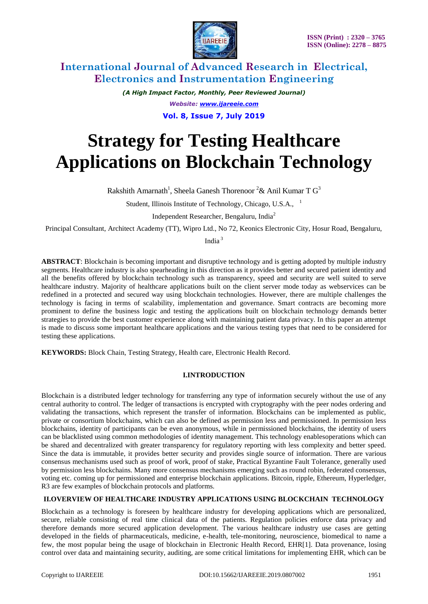

# **International Journal of Advanced Research in Electrical, Electronics and Instrumentation Engineering**

*(A High Impact Factor, Monthly, Peer Reviewed Journal) Website: [www.ijareeie.com](http://www.ijareeie.com/)* **Vol. 8, Issue 7, July 2019**

# **Strategy for Testing Healthcare Applications on Blockchain Technology**

Rakshith Amarnath<sup>1</sup>, Sheela Ganesh Thorenoor  $2\&$  Anil Kumar T G<sup>3</sup>

Student, Illinois Institute of Technology, Chicago, U.S.A., <sup>1</sup>

Independent Researcher, Bengaluru, India<sup>2</sup>

Principal Consultant, Architect Academy (TT), Wipro Ltd., No 72, Keonics Electronic City, Hosur Road, Bengaluru,

India <sup>3</sup>

**ABSTRACT**: Blockchain is becoming important and disruptive technology and is getting adopted by multiple industry segments. Healthcare industry is also spearheading in this direction as it provides better and secured patient identity and all the benefits offered by blockchain technology such as transparency, speed and security are well suited to serve healthcare industry. Majority of healthcare applications built on the client server mode today as webservices can be redefined in a protected and secured way using blockchain technologies. However, there are multiple challenges the technology is facing in terms of scalability, implementation and governance. Smart contracts are becoming more prominent to define the business logic and testing the applications built on blockchain technology demands better strategies to provide the best customer experience along with maintaining patient data privacy. In this paper an attempt is made to discuss some important healthcare applications and the various testing types that need to be considered for testing these applications.

**KEYWORDS:** Block Chain, Testing Strategy, Health care, Electronic Health Record.

## **I.INTRODUCTION**

Blockchain is a distributed ledger technology for transferring any type of information securely without the use of any central authority to control. The ledger of transactions is encrypted with cryptography with the peer nodes ordering and validating the transactions, which represent the transfer of information. Blockchains can be implemented as public, private or consortium blockchains, which can also be defined as permission less and permissioned. In permission less blockchains, identity of participants can be even anonymous, while in permissioned blockchains, the identity of users can be blacklisted using common methodologies of identity management. This technology enablesoperations which can be shared and decentralized with greater transparency for regulatory reporting with less complexity and better speed. Since the data is immutable, it provides better security and provides single source of information. There are various consensus mechanisms used such as proof of work, proof of stake, Practical Byzantine Fault Tolerance, generally used by permission less blockchains. Many more consensus mechanisms emerging such as round robin, federated consensus, voting etc. coming up for permissioned and enterprise blockchain applications. Bitcoin, ripple, Ethereum, Hyperledger, R3 are few examples of blockchain protocols and platforms.

## **II.OVERVIEW OF HEALTHCARE INDUSTRY APPLICATIONS USING BLOCKCHAIN TECHNOLOGY**

Blockchain as a technology is foreseen by healthcare industry for developing applications which are personalized, secure, reliable consisting of real time clinical data of the patients. Regulation policies enforce data privacy and therefore demands more secured application development. The various healthcare industry use cases are getting developed in the fields of pharmaceuticals, medicine, e-health, tele-monitoring, neuroscience, biomedical to name a few, the most popular being the usage of blockchain in Electronic Health Record, EHR[1]. Data provenance, losing control over data and maintaining security, auditing, are some critical limitations for implementing EHR, which can be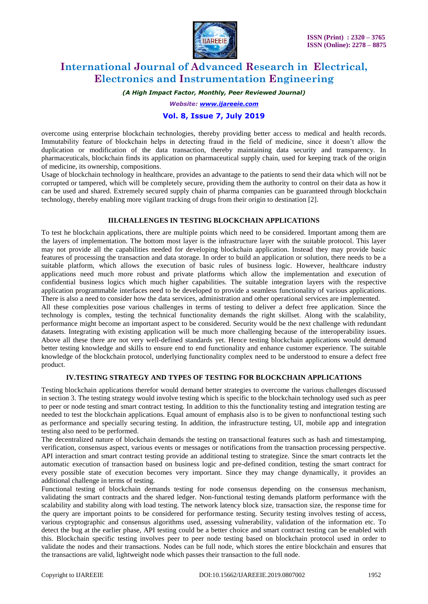

# **International Journal of Advanced Research in Electrical, Electronics and Instrumentation Engineering**

*(A High Impact Factor, Monthly, Peer Reviewed Journal)*

*Website: [www.ijareeie.com](http://www.ijareeie.com/)*

## **Vol. 8, Issue 7, July 2019**

overcome using enterprise blockchain technologies, thereby providing better access to medical and health records. Immutability feature of blockchain helps in detecting fraud in the field of medicine, since it doesn't allow the duplication or modification of the data transaction, thereby maintaining data security and transparency. In pharmaceuticals, blockchain finds its application on pharmaceutical supply chain, used for keeping track of the origin of medicine, its ownership, compositions.

Usage of blockchain technology in healthcare, provides an advantage to the patients to send their data which will not be corrupted or tampered, which will be completely secure, providing them the authority to control on their data as how it can be used and shared. Extremely secured supply chain of pharma companies can be guaranteed through blockchain technology, thereby enabling more vigilant tracking of drugs from their origin to destination [2].

#### **III.CHALLENGES IN TESTING BLOCKCHAIN APPLICATIONS**

To test he blockchain applications, there are multiple points which need to be considered. Important among them are the layers of implementation. The bottom most layer is the infrastructure layer with the suitable protocol. This layer may not provide all the capabilities needed for developing blockchain application. Instead they may provide basic features of processing the transaction and data storage. In order to build an application or solution, there needs to be a suitable platform, which allows the execution of basic rules of business logic. However, healthcare industry applications need much more robust and private platforms which allow the implementation and execution of confidential business logics which much higher capabilities. The suitable integration layers with the respective application programmable interfaces need to be developed to provide a seamless functionality of various applications. There is also a need to consider how the data services, administration and other operational services are implemented.

All these complexities pose various challenges in terms of testing to deliver a defect free application. Since the technology is complex, testing the technical functionality demands the right skillset. Along with the scalability, performance might become an important aspect to be considered. Security would be the next challenge with redundant datasets. Integrating with existing application will be much more challenging because of the interoperability issues. Above all these there are not very well-defined standards yet. Hence testing blockchain applications would demand better testing knowledge and skills to ensure end to end functionality and enhance customer experience. The suitable knowledge of the blockchain protocol, underlying functionality complex need to be understood to ensure a defect free product.

#### **IV.TESTING STRATEGY AND TYPES OF TESTING FOR BLOCKCHAIN APPLICATIONS**

Testing blockchain applications therefor would demand better strategies to overcome the various challenges discussed in section 3. The testing strategy would involve testing which is specific to the blockchain technology used such as peer to peer or node testing and smart contract testing. In addition to this the functionality testing and integration testing are needed to test the blockchain applications. Equal amount of emphasis also is to be given to nonfunctional testing such as performance and specially securing testing. In addition, the infrastructure testing, UI, mobile app and integration testing also need to be performed.

The decentralized nature of blockchain demands the testing on transactional features such as hash and timestamping, verification, consensus aspect, various events or messages or notifications from the transaction processing perspective. API interaction and smart contract testing provide an additional testing to strategize. Since the smart contracts let the automatic execution of transaction based on business logic and pre-defined condition, testing the smart contract for every possible state of execution becomes very important. Since they may change dynamically, it provides an additional challenge in terms of testing.

Functional testing of blockchain demands testing for node consensus depending on the consensus mechanism, validating the smart contracts and the shared ledger. Non-functional testing demands platform performance with the scalability and stability along with load testing. The network latency block size, transaction size, the response time for the query are important points to be considered for performance testing. Security testing involves testing of access, various cryptographic and consensus algorithms used, assessing vulnerability, validation of the information etc. To detect the bug at the earlier phase, API testing could be a better choice and smart contract testing can be enabled with this. Blockchain specific testing involves peer to peer node testing based on blockchain protocol used in order to validate the nodes and their transactions. Nodes can be full node, which stores the entire blockchain and ensures that the transactions are valid, lightweight node which passes their transaction to the full node.